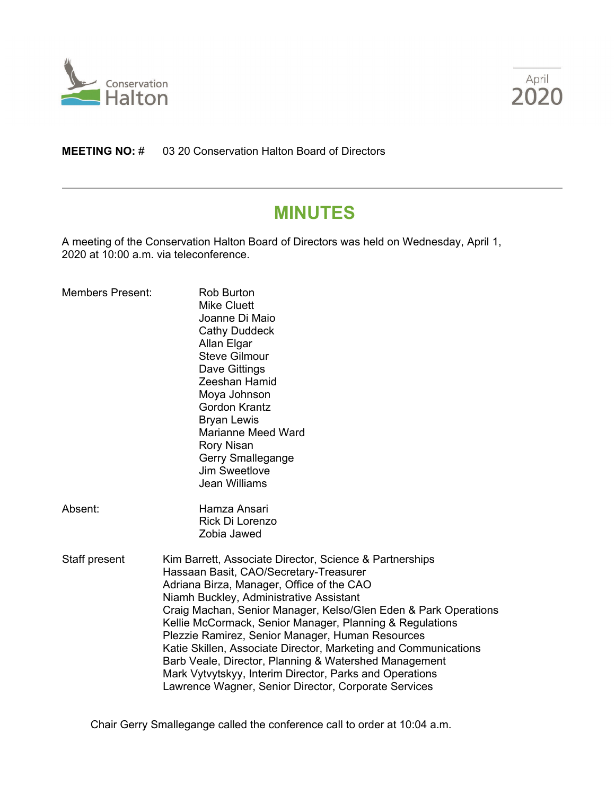



**MEETING NO:** # 03 20 Conservation Halton Board of Directors

# **MINUTES**

A meeting of the Conservation Halton Board of Directors was held on Wednesday, April 1, 2020 at 10:00 a.m. via teleconference.

| <b>Members Present:</b> | <b>Rob Burton</b><br><b>Mike Cluett</b><br>Joanne Di Maio<br><b>Cathy Duddeck</b><br>Allan Elgar<br><b>Steve Gilmour</b><br>Dave Gittings<br>Zeeshan Hamid<br>Moya Johnson<br><b>Gordon Krantz</b><br><b>Bryan Lewis</b><br><b>Marianne Meed Ward</b><br><b>Rory Nisan</b><br>Gerry Smallegange<br>Jim Sweetlove<br><b>Jean Williams</b>                                                                                                                                                                                                                                                                                    |
|-------------------------|-----------------------------------------------------------------------------------------------------------------------------------------------------------------------------------------------------------------------------------------------------------------------------------------------------------------------------------------------------------------------------------------------------------------------------------------------------------------------------------------------------------------------------------------------------------------------------------------------------------------------------|
| Absent:                 | Hamza Ansari<br>Rick Di Lorenzo<br>Zobia Jawed                                                                                                                                                                                                                                                                                                                                                                                                                                                                                                                                                                              |
| Staff present           | Kim Barrett, Associate Director, Science & Partnerships<br>Hassaan Basit, CAO/Secretary-Treasurer<br>Adriana Birza, Manager, Office of the CAO<br>Niamh Buckley, Administrative Assistant<br>Craig Machan, Senior Manager, Kelso/Glen Eden & Park Operations<br>Kellie McCormack, Senior Manager, Planning & Regulations<br>Plezzie Ramirez, Senior Manager, Human Resources<br>Katie Skillen, Associate Director, Marketing and Communications<br>Barb Veale, Director, Planning & Watershed Management<br>Mark Vytvytskyy, Interim Director, Parks and Operations<br>Lawrence Wagner, Senior Director, Corporate Services |

Chair Gerry Smallegange called the conference call to order at 10:04 a.m.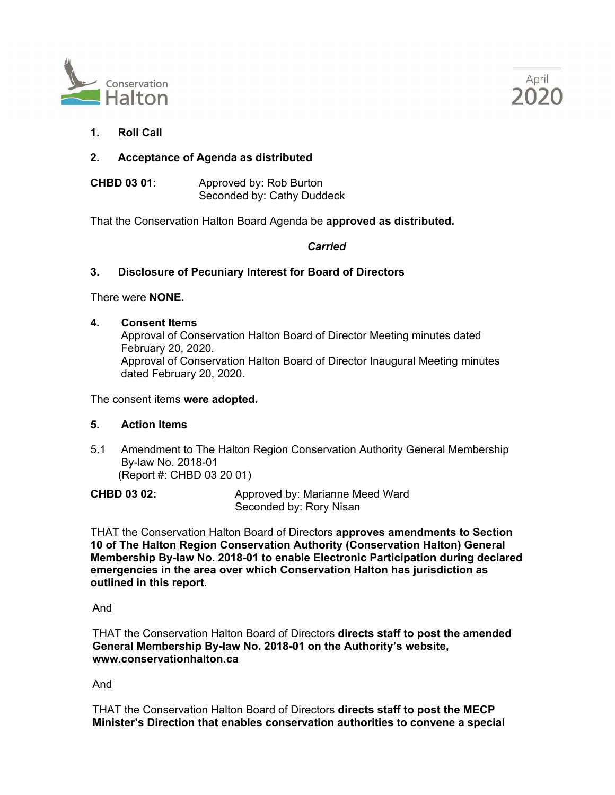



**1. Roll Call**

# **2. Acceptance of Agenda as distributed**

**CHBD 03 01**: Approved by: Rob Burton Seconded by: Cathy Duddeck

That the Conservation Halton Board Agenda be **approved as distributed.**

## *Carried*

## **3. Disclosure of Pecuniary Interest for Board of Directors**

There were **NONE.**

#### **4. Consent Items**

Approval of Conservation Halton Board of Director Meeting minutes dated February 20, 2020. Approval of Conservation Halton Board of Director Inaugural Meeting minutes dated February 20, 2020.

The consent items **were adopted.**

## **5. Action Items**

5.1 Amendment to The Halton Region Conservation Authority General Membership By-law No. 2018-01 (Report #: CHBD 03 20 01)

**CHBD 03 02:** Approved by: Marianne Meed Ward Seconded by: Rory Nisan

THAT the Conservation Halton Board of Directors **approves amendments to Section 10 of The Halton Region Conservation Authority (Conservation Halton) General Membership By-law No. 2018-01 to enable Electronic Participation during declared emergencies in the area over which Conservation Halton has jurisdiction as outlined in this report.**

And

THAT the Conservation Halton Board of Directors **directs staff to post the amended General Membership By-law No. 2018-01 on the Authority's website, [www.conservationhalton.ca](http://www.conservationhalton.ca/)**

And

THAT the Conservation Halton Board of Directors **directs staff to post the MECP Minister's Direction that enables conservation authorities to convene a special**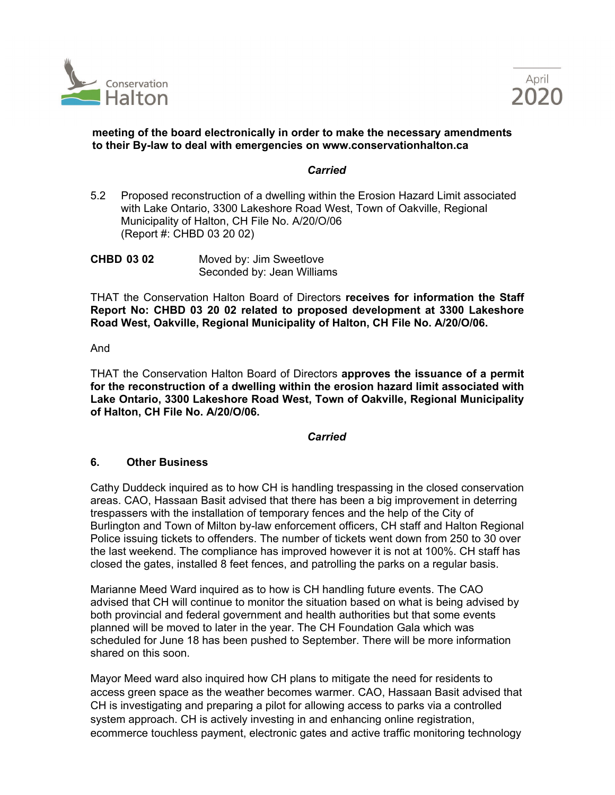



## **meeting of the board electronically in order to make the necessary amendments to their By-law to deal with emergencies on [www.conservationhalton.ca](http://www.conservationhalton.ca/)**

#### *Carried*

5.2 Proposed reconstruction of a dwelling within the Erosion Hazard Limit associated with Lake Ontario, 3300 Lakeshore Road West, Town of Oakville, Regional Municipality of Halton, CH File No. A/20/O/06 (Report #: CHBD 03 20 02)

**CHBD 03 02** Moved by: Jim Sweetlove Seconded by: Jean Williams

THAT the Conservation Halton Board of Directors **receives for information the Staff Report No: CHBD 03 20 02 related to proposed development at 3300 Lakeshore Road West, Oakville, Regional Municipality of Halton, CH File No. A/20/O/06.**

#### And

THAT the Conservation Halton Board of Directors **approves the issuance of a permit for the reconstruction of a dwelling within the erosion hazard limit associated with Lake Ontario, 3300 Lakeshore Road West, Town of Oakville, Regional Municipality of Halton, CH File No. A/20/O/06.**

## *Carried*

## **6. Other Business**

Cathy Duddeck inquired as to how CH is handling trespassing in the closed conservation areas. CAO, Hassaan Basit advised that there has been a big improvement in deterring trespassers with the installation of temporary fences and the help of the City of Burlington and Town of Milton by-law enforcement officers, CH staff and Halton Regional Police issuing tickets to offenders. The number of tickets went down from 250 to 30 over the last weekend. The compliance has improved however it is not at 100%. CH staff has closed the gates, installed 8 feet fences, and patrolling the parks on a regular basis.

Marianne Meed Ward inquired as to how is CH handling future events. The CAO advised that CH will continue to monitor the situation based on what is being advised by both provincial and federal government and health authorities but that some events planned will be moved to later in the year. The CH Foundation Gala which was scheduled for June 18 has been pushed to September. There will be more information shared on this soon.

Mayor Meed ward also inquired how CH plans to mitigate the need for residents to access green space as the weather becomes warmer. CAO, Hassaan Basit advised that CH is investigating and preparing a pilot for allowing access to parks via a controlled system approach. CH is actively investing in and enhancing online registration, ecommerce touchless payment, electronic gates and active traffic monitoring technology